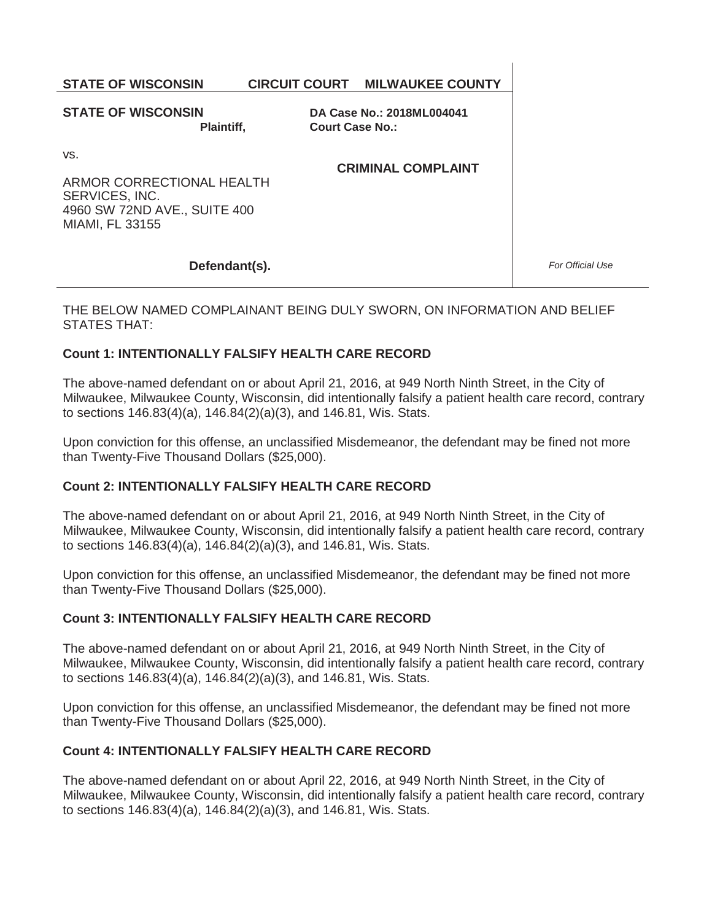# **STATE OF WISCONSIN CIRCUIT COURT MILWAUKEE COUNTY**

**STATE OF WISCONSIN Plaintiff,** 

**DA Case No.: 2018ML004041 Court Case No.:** 

vs.

**CRIMINAL COMPLAINT** 

ARMOR CORRECTIONAL HEALTH SERVICES, INC. 4960 SW 72ND AVE., SUITE 400 MIAMI, FL 33155

### **Defendant(s).**

*For Official Use* 

THE BELOW NAMED COMPLAINANT BEING DULY SWORN, ON INFORMATION AND BELIEF STATES THAT:

## **Count 1: INTENTIONALLY FALSIFY HEALTH CARE RECORD**

The above-named defendant on or about April 21, 2016, at 949 North Ninth Street, in the City of Milwaukee, Milwaukee County, Wisconsin, did intentionally falsify a patient health care record, contrary to sections 146.83(4)(a), 146.84(2)(a)(3), and 146.81, Wis. Stats.

Upon conviction for this offense, an unclassified Misdemeanor, the defendant may be fined not more than Twenty-Five Thousand Dollars (\$25,000).

# **Count 2: INTENTIONALLY FALSIFY HEALTH CARE RECORD**

The above-named defendant on or about April 21, 2016, at 949 North Ninth Street, in the City of Milwaukee, Milwaukee County, Wisconsin, did intentionally falsify a patient health care record, contrary to sections 146.83(4)(a), 146.84(2)(a)(3), and 146.81, Wis. Stats.

Upon conviction for this offense, an unclassified Misdemeanor, the defendant may be fined not more than Twenty-Five Thousand Dollars (\$25,000).

### **Count 3: INTENTIONALLY FALSIFY HEALTH CARE RECORD**

The above-named defendant on or about April 21, 2016, at 949 North Ninth Street, in the City of Milwaukee, Milwaukee County, Wisconsin, did intentionally falsify a patient health care record, contrary to sections 146.83(4)(a), 146.84(2)(a)(3), and 146.81, Wis. Stats.

Upon conviction for this offense, an unclassified Misdemeanor, the defendant may be fined not more than Twenty-Five Thousand Dollars (\$25,000).

# **Count 4: INTENTIONALLY FALSIFY HEALTH CARE RECORD**

The above-named defendant on or about April 22, 2016, at 949 North Ninth Street, in the City of Milwaukee, Milwaukee County, Wisconsin, did intentionally falsify a patient health care record, contrary to sections 146.83(4)(a), 146.84(2)(a)(3), and 146.81, Wis. Stats.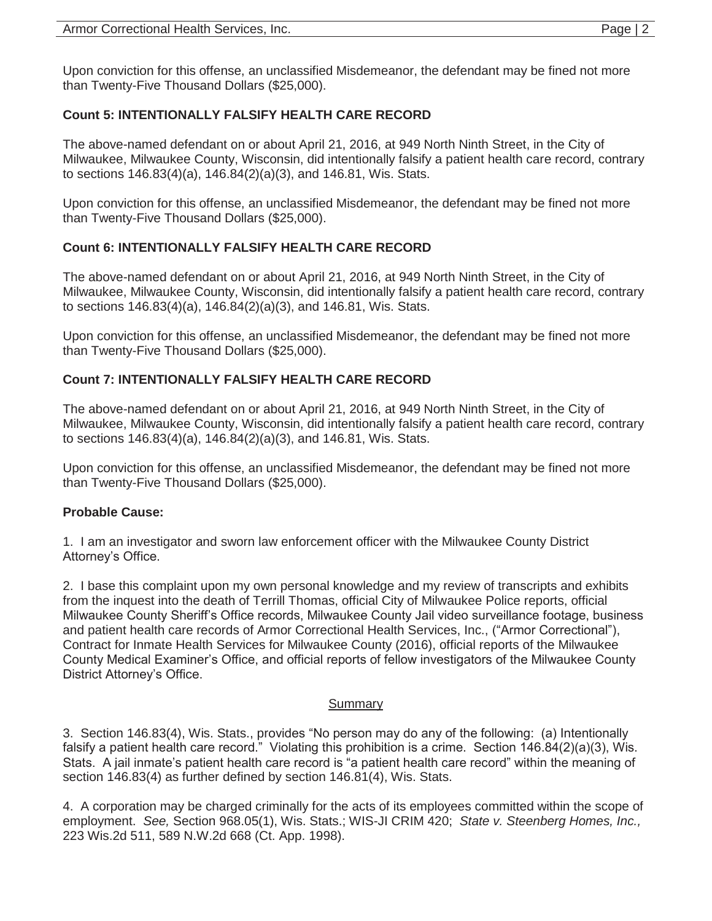Upon conviction for this offense, an unclassified Misdemeanor, the defendant may be fined not more than Twenty-Five Thousand Dollars (\$25,000).

## **Count 5: INTENTIONALLY FALSIFY HEALTH CARE RECORD**

The above-named defendant on or about April 21, 2016, at 949 North Ninth Street, in the City of Milwaukee, Milwaukee County, Wisconsin, did intentionally falsify a patient health care record, contrary to sections 146.83(4)(a), 146.84(2)(a)(3), and 146.81, Wis. Stats.

Upon conviction for this offense, an unclassified Misdemeanor, the defendant may be fined not more than Twenty-Five Thousand Dollars (\$25,000).

## **Count 6: INTENTIONALLY FALSIFY HEALTH CARE RECORD**

The above-named defendant on or about April 21, 2016, at 949 North Ninth Street, in the City of Milwaukee, Milwaukee County, Wisconsin, did intentionally falsify a patient health care record, contrary to sections 146.83(4)(a), 146.84(2)(a)(3), and 146.81, Wis. Stats.

Upon conviction for this offense, an unclassified Misdemeanor, the defendant may be fined not more than Twenty-Five Thousand Dollars (\$25,000).

# **Count 7: INTENTIONALLY FALSIFY HEALTH CARE RECORD**

The above-named defendant on or about April 21, 2016, at 949 North Ninth Street, in the City of Milwaukee, Milwaukee County, Wisconsin, did intentionally falsify a patient health care record, contrary to sections 146.83(4)(a), 146.84(2)(a)(3), and 146.81, Wis. Stats.

Upon conviction for this offense, an unclassified Misdemeanor, the defendant may be fined not more than Twenty-Five Thousand Dollars (\$25,000).

### **Probable Cause:**

1. I am an investigator and sworn law enforcement officer with the Milwaukee County District Attorney's Office.

2. I base this complaint upon my own personal knowledge and my review of transcripts and exhibits from the inquest into the death of Terrill Thomas, official City of Milwaukee Police reports, official Milwaukee County Sheriff's Office records, Milwaukee County Jail video surveillance footage, business and patient health care records of Armor Correctional Health Services, Inc., ("Armor Correctional"), Contract for Inmate Health Services for Milwaukee County (2016), official reports of the Milwaukee County Medical Examiner's Office, and official reports of fellow investigators of the Milwaukee County District Attorney's Office.

### **Summary**

3. Section 146.83(4), Wis. Stats., provides "No person may do any of the following: (a) Intentionally falsify a patient health care record." Violating this prohibition is a crime. Section 146.84(2)(a)(3), Wis. Stats. A jail inmate's patient health care record is "a patient health care record" within the meaning of section 146.83(4) as further defined by section 146.81(4), Wis. Stats.

4. A corporation may be charged criminally for the acts of its employees committed within the scope of employment. *See,* Section 968.05(1), Wis. Stats.; WIS-JI CRIM 420; *State v. Steenberg Homes, Inc.,* 223 Wis.2d 511, 589 N.W.2d 668 (Ct. App. 1998).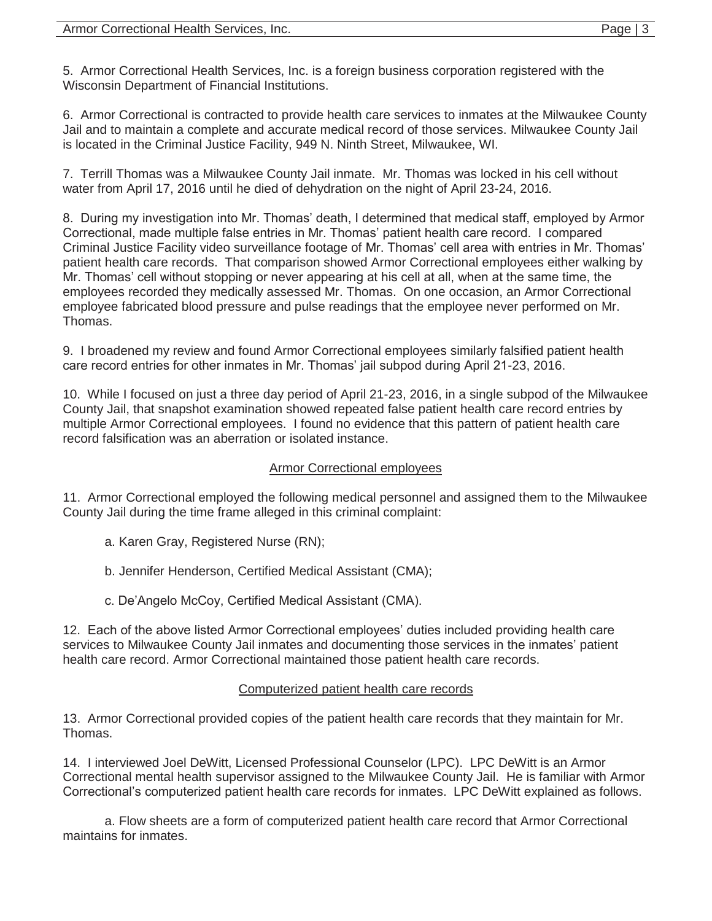5. Armor Correctional Health Services, Inc. is a foreign business corporation registered with the Wisconsin Department of Financial Institutions.

6. Armor Correctional is contracted to provide health care services to inmates at the Milwaukee County Jail and to maintain a complete and accurate medical record of those services. Milwaukee County Jail is located in the Criminal Justice Facility, 949 N. Ninth Street, Milwaukee, WI.

7. Terrill Thomas was a Milwaukee County Jail inmate. Mr. Thomas was locked in his cell without water from April 17, 2016 until he died of dehydration on the night of April 23-24, 2016.

8. During my investigation into Mr. Thomas' death, I determined that medical staff, employed by Armor Correctional, made multiple false entries in Mr. Thomas' patient health care record. I compared Criminal Justice Facility video surveillance footage of Mr. Thomas' cell area with entries in Mr. Thomas' patient health care records. That comparison showed Armor Correctional employees either walking by Mr. Thomas' cell without stopping or never appearing at his cell at all, when at the same time, the employees recorded they medically assessed Mr. Thomas. On one occasion, an Armor Correctional employee fabricated blood pressure and pulse readings that the employee never performed on Mr. Thomas.

9. I broadened my review and found Armor Correctional employees similarly falsified patient health care record entries for other inmates in Mr. Thomas' jail subpod during April 21-23, 2016.

10. While I focused on just a three day period of April 21-23, 2016, in a single subpod of the Milwaukee County Jail, that snapshot examination showed repeated false patient health care record entries by multiple Armor Correctional employees. I found no evidence that this pattern of patient health care record falsification was an aberration or isolated instance.

### Armor Correctional employees

11. Armor Correctional employed the following medical personnel and assigned them to the Milwaukee County Jail during the time frame alleged in this criminal complaint:

- a. Karen Gray, Registered Nurse (RN);
- b. Jennifer Henderson, Certified Medical Assistant (CMA);
- c. De'Angelo McCoy, Certified Medical Assistant (CMA).

12. Each of the above listed Armor Correctional employees' duties included providing health care services to Milwaukee County Jail inmates and documenting those services in the inmates' patient health care record. Armor Correctional maintained those patient health care records.

### Computerized patient health care records

13. Armor Correctional provided copies of the patient health care records that they maintain for Mr. Thomas.

14. I interviewed Joel DeWitt, Licensed Professional Counselor (LPC). LPC DeWitt is an Armor Correctional mental health supervisor assigned to the Milwaukee County Jail. He is familiar with Armor Correctional's computerized patient health care records for inmates. LPC DeWitt explained as follows.

 a. Flow sheets are a form of computerized patient health care record that Armor Correctional maintains for inmates.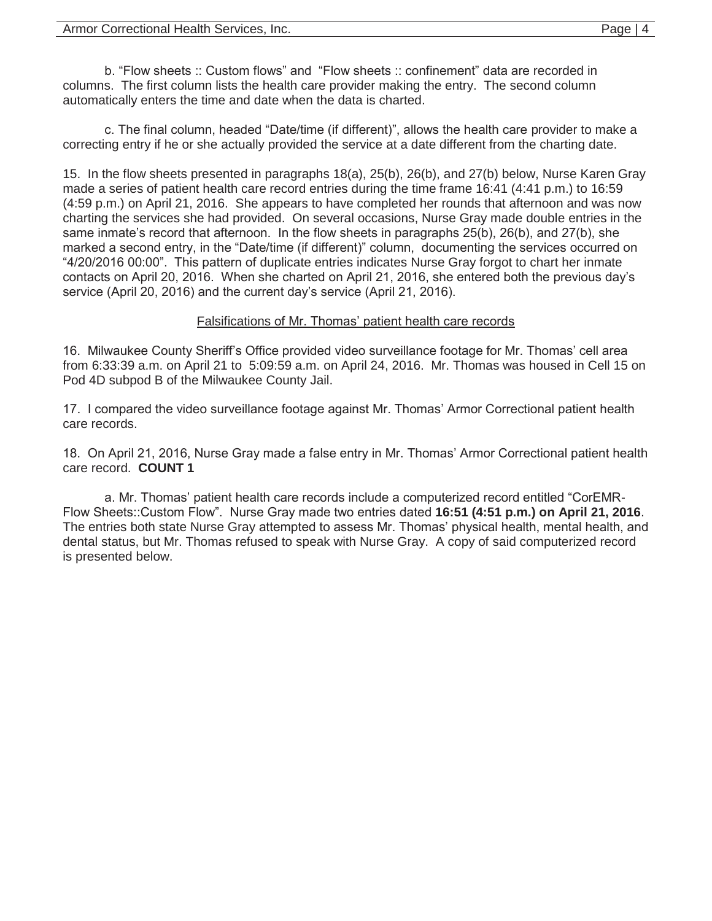b. "Flow sheets :: Custom flows" and "Flow sheets :: confinement" data are recorded in columns. The first column lists the health care provider making the entry. The second column automatically enters the time and date when the data is charted.

c. The final column, headed "Date/time (if different)", allows the health care provider to make a correcting entry if he or she actually provided the service at a date different from the charting date.

15. In the flow sheets presented in paragraphs 18(a), 25(b), 26(b), and 27(b) below, Nurse Karen Gray made a series of patient health care record entries during the time frame 16:41 (4:41 p.m.) to 16:59 (4:59 p.m.) on April 21, 2016. She appears to have completed her rounds that afternoon and was now charting the services she had provided. On several occasions, Nurse Gray made double entries in the same inmate's record that afternoon. In the flow sheets in paragraphs 25(b), 26(b), and 27(b), she marked a second entry, in the "Date/time (if different)" column, documenting the services occurred on "4/20/2016 00:00". This pattern of duplicate entries indicates Nurse Gray forgot to chart her inmate contacts on April 20, 2016. When she charted on April 21, 2016, she entered both the previous day's service (April 20, 2016) and the current day's service (April 21, 2016).

#### Falsifications of Mr. Thomas' patient health care records

16. Milwaukee County Sheriff's Office provided video surveillance footage for Mr. Thomas' cell area from 6:33:39 a.m. on April 21 to 5:09:59 a.m. on April 24, 2016. Mr. Thomas was housed in Cell 15 on Pod 4D subpod B of the Milwaukee County Jail.

17. I compared the video surveillance footage against Mr. Thomas' Armor Correctional patient health care records.

18. On April 21, 2016, Nurse Gray made a false entry in Mr. Thomas' Armor Correctional patient health care record. **COUNT 1** 

a. Mr. Thomas' patient health care records include a computerized record entitled "CorEMR-Flow Sheets::Custom Flow". Nurse Gray made two entries dated **16:51 (4:51 p.m.) on April 21, 2016**. The entries both state Nurse Gray attempted to assess Mr. Thomas' physical health, mental health, and dental status, but Mr. Thomas refused to speak with Nurse Gray. A copy of said computerized record is presented below.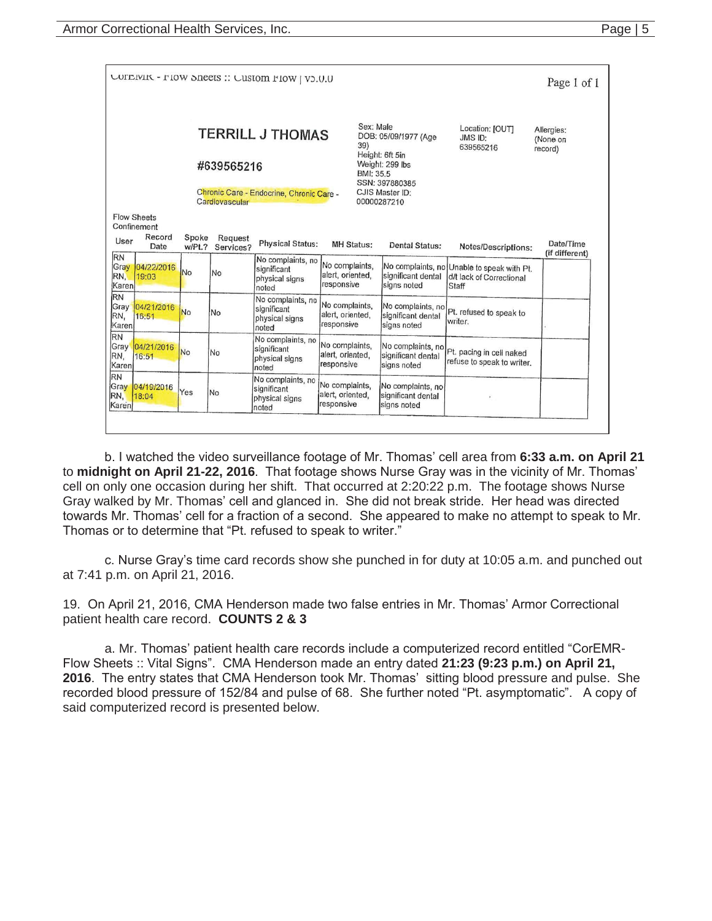|                                                                                                                                                                                                                                                                                                                                        |                                                     |                 |                      | COTEIVIK - FIOW SHEETS :: CUSTOM FIOW   V5.0.0              |                                                  |                                                        |                                                               | Page 1 of 1                 |  |  |  |
|----------------------------------------------------------------------------------------------------------------------------------------------------------------------------------------------------------------------------------------------------------------------------------------------------------------------------------------|-----------------------------------------------------|-----------------|----------------------|-------------------------------------------------------------|--------------------------------------------------|--------------------------------------------------------|---------------------------------------------------------------|-----------------------------|--|--|--|
| Sex: Male<br>Location: [OUT]<br>Allergies:<br><b>TERRILL J THOMAS</b><br>DOB: 05/09/1977 (Age<br>JMS ID:<br>(None on<br>39)<br>639565216<br>record)<br>Height: 6ft 5in<br>Weight: 299 lbs<br>#639565216<br>BMI: 35.5<br>SSN: 397880385<br>CJIS Master ID:<br>Chronic Care - Endocrine, Chronic Care -<br>Cardiovascular<br>00000287210 |                                                     |                 |                      |                                                             |                                                  |                                                        |                                                               |                             |  |  |  |
| User                                                                                                                                                                                                                                                                                                                                   | <b>Flow Sheets</b><br>Confinement<br>Record<br>Date | Spoke<br>w/Pt.7 | Request<br>Services? | <b>Physical Status:</b>                                     | <b>MH Status:</b>                                | Dental Status:                                         | Notes/Descriptions:                                           | Date/Time<br>(if different) |  |  |  |
| <b>RN</b><br>Gray<br>RN.<br>Karen                                                                                                                                                                                                                                                                                                      | 04/22/2016<br>19:03                                 | No              | <b>No</b>            | No complaints, no<br>significant<br>physical signs<br>noted | No complaints,<br>alert, oriented,<br>responsive | No complaints, no<br>significant dental<br>signs noted | Unable to speak with Pt.<br>d/t lack of Correctional<br>Staff |                             |  |  |  |
| <b>RN</b><br>Gray<br>RN,<br>Karen                                                                                                                                                                                                                                                                                                      | 04/21/2016<br>16:51                                 | <b>No</b>       | No                   | No complaints, no<br>significant<br>physical signs<br>noted | No complaints,<br>alert, oriented,<br>responsive | No complaints, no<br>significant dental<br>signs noted | Pt. refused to speak to<br>writer.                            |                             |  |  |  |
| <b>RN</b><br>Gray<br>RN.<br>Karen                                                                                                                                                                                                                                                                                                      | 04/21/2016<br>16:51                                 | <b>No</b>       | No                   | No complaints, no<br>significant<br>physical signs<br>noted | No complaints,<br>alert, oriented,<br>responsive | No complaints, no<br>significant dental<br>signs noted | Pt. pacing in cell naked<br>refuse to speak to writer.        |                             |  |  |  |
| <b>RN</b><br>Gray<br>RN.<br>Karen                                                                                                                                                                                                                                                                                                      | 04/19/2016<br>18:04                                 | Yes             | No                   | No complaints, no<br>significant<br>physical signs<br>noted | No complaints.<br>alert, oriented,<br>responsive | No complaints, no<br>significant dental<br>signs noted | ٠                                                             |                             |  |  |  |

b. I watched the video surveillance footage of Mr. Thomas' cell area from **6:33 a.m. on April 21**  to **midnight on April 21-22, 2016**. That footage shows Nurse Gray was in the vicinity of Mr. Thomas' cell on only one occasion during her shift. That occurred at 2:20:22 p.m. The footage shows Nurse Gray walked by Mr. Thomas' cell and glanced in. She did not break stride. Her head was directed towards Mr. Thomas' cell for a fraction of a second. She appeared to make no attempt to speak to Mr. Thomas or to determine that "Pt. refused to speak to writer."

c. Nurse Gray's time card records show she punched in for duty at 10:05 a.m. and punched out at 7:41 p.m. on April 21, 2016.

19. On April 21, 2016, CMA Henderson made two false entries in Mr. Thomas' Armor Correctional patient health care record. **COUNTS 2 & 3**

 a. Mr. Thomas' patient health care records include a computerized record entitled "CorEMR-Flow Sheets :: Vital Signs". CMA Henderson made an entry dated **21:23 (9:23 p.m.) on April 21, 2016**. The entry states that CMA Henderson took Mr. Thomas' sitting blood pressure and pulse. She recorded blood pressure of 152/84 and pulse of 68. She further noted "Pt. asymptomatic". A copy of said computerized record is presented below.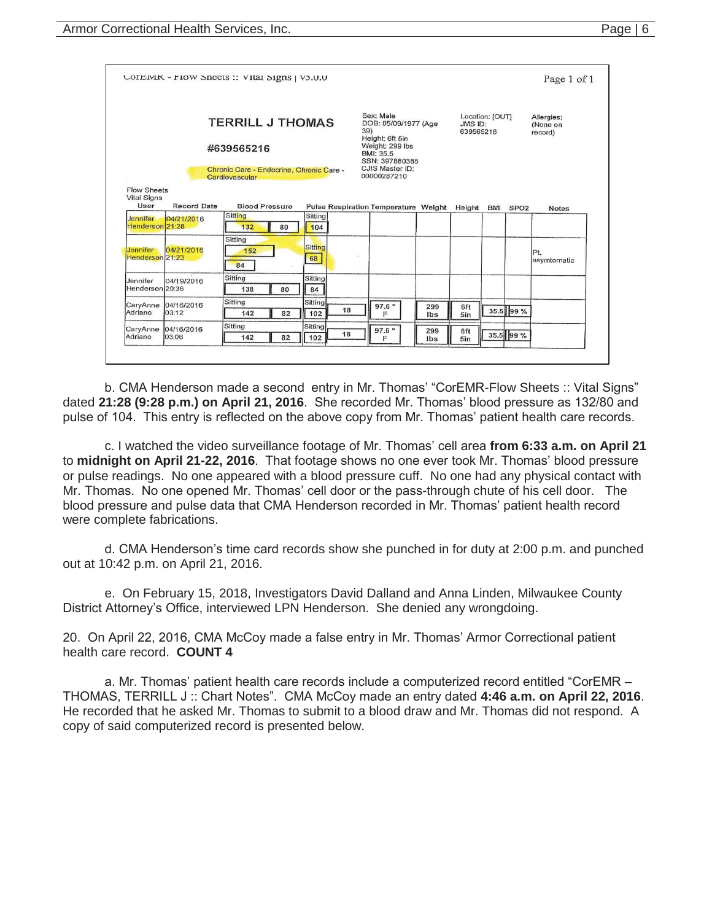|                                                  |                     | COTEIVIK - FIOW Sneets: VItal Signs   V3.U.U                                                 |                      |                                                                                                                                                 |            |                      |                 |           | Page 1 of 1                       |
|--------------------------------------------------|---------------------|----------------------------------------------------------------------------------------------|----------------------|-------------------------------------------------------------------------------------------------------------------------------------------------|------------|----------------------|-----------------|-----------|-----------------------------------|
|                                                  |                     | TERRILL J THOMAS<br>#639565216<br>Chronic Care - Endocrine, Chronic Care -<br>Cardiovascular |                      | Sex: Male<br>DOB: 05/09/1977 (Age<br>39)<br>Height: 6ft 5in<br>Weight: 299 lbs<br>BMI: 35.5<br>SSN: 397880385<br>CJIS Master ID:<br>00000287210 |            | JMS ID:<br>639565216 | Location: [OUT] |           | Allergies:<br>(None on<br>record) |
| <b>Flow Sheets</b><br><b>Vital Signs</b><br>User | <b>Record Date</b>  | <b>Blood Pressure</b>                                                                        |                      | Pulse Respiration Temperature Weight Height BMI SPO2                                                                                            |            |                      |                 |           | <b>Notes</b>                      |
| Jennifer<br>Henderson 21:28                      | 04/21/2016          | Sitting<br>132<br>80                                                                         | Sitting<br>104       |                                                                                                                                                 |            |                      |                 |           |                                   |
| <b>Jennifer</b><br>Henderson 21:23               | 04/21/2016          | Sitting<br>152<br>84                                                                         | <b>Sitting</b><br>68 | B                                                                                                                                               |            |                      |                 |           | IPt.<br>asymtomatic               |
| Jennifer<br>Henderson 20:36                      | 04/19/2016          | Sitting<br>138<br>80                                                                         | Sitting<br>84        |                                                                                                                                                 |            |                      |                 |           |                                   |
| CaryAnne                                         | 04/16/2016<br>03:12 | Sitting<br>142<br>82                                                                         | Sitting<br>18<br>102 | 97.6°<br>F                                                                                                                                      | 299<br>Ibs | 6ft<br>5in           |                 | 35.5 99 % |                                   |
| Adriano                                          |                     | Sitting                                                                                      | Sitting              |                                                                                                                                                 |            |                      |                 |           |                                   |

b. CMA Henderson made a second entry in Mr. Thomas' "CorEMR-Flow Sheets :: Vital Signs" dated **21:28 (9:28 p.m.) on April 21, 2016**. She recorded Mr. Thomas' blood pressure as 132/80 and pulse of 104. This entry is reflected on the above copy from Mr. Thomas' patient health care records.

 c. I watched the video surveillance footage of Mr. Thomas' cell area **from 6:33 a.m. on April 21**  to **midnight on April 21-22, 2016**. That footage shows no one ever took Mr. Thomas' blood pressure or pulse readings. No one appeared with a blood pressure cuff. No one had any physical contact with Mr. Thomas. No one opened Mr. Thomas' cell door or the pass-through chute of his cell door. The blood pressure and pulse data that CMA Henderson recorded in Mr. Thomas' patient health record were complete fabrications.

d. CMA Henderson's time card records show she punched in for duty at 2:00 p.m. and punched out at 10:42 p.m. on April 21, 2016.

 e. On February 15, 2018, Investigators David Dalland and Anna Linden, Milwaukee County District Attorney's Office, interviewed LPN Henderson. She denied any wrongdoing.

20. On April 22, 2016, CMA McCoy made a false entry in Mr. Thomas' Armor Correctional patient health care record. **COUNT 4**

a. Mr. Thomas' patient health care records include a computerized record entitled "CorEMR – THOMAS, TERRILL J :: Chart Notes". CMA McCoy made an entry dated **4:46 a.m. on April 22, 2016**. He recorded that he asked Mr. Thomas to submit to a blood draw and Mr. Thomas did not respond. A copy of said computerized record is presented below.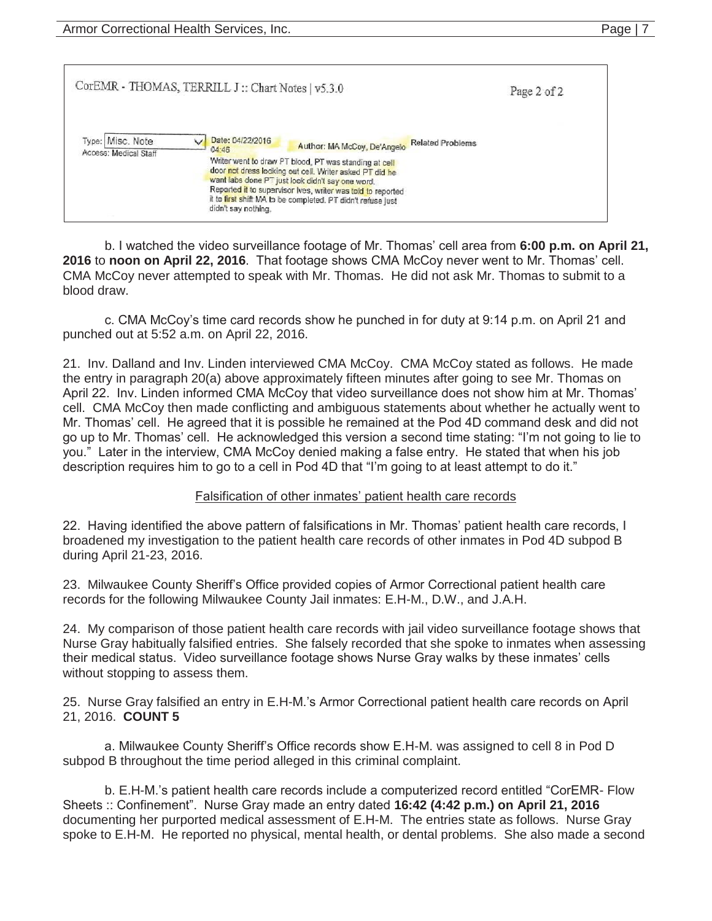|                                           | CorEMR - THOMAS, TERRILL J:: Chart Notes   v5.3.0                                                                                                                                                                                                                                                                                                                                                                | Page 2 of 2 |
|-------------------------------------------|------------------------------------------------------------------------------------------------------------------------------------------------------------------------------------------------------------------------------------------------------------------------------------------------------------------------------------------------------------------------------------------------------------------|-------------|
| Type: Misc. Note<br>Access: Medical Staff | Date: 04/22/2016<br><b>Related Problems</b><br>Author: MA McCoy, De'Angelo<br>04:46<br>Writer went to draw PT blood, PT was standing at cell<br>door not dress looking out cell. Writer asked PT did he<br>want labs done PT just look didn't say one word.<br>Reported it to supervisor Ives, writer was told to reported<br>it to first shift MA to be completed. PT didn't refuse just<br>didn't say nothing. |             |

 b. I watched the video surveillance footage of Mr. Thomas' cell area from **6:00 p.m. on April 21, 2016** to **noon on April 22, 2016**. That footage shows CMA McCoy never went to Mr. Thomas' cell. CMA McCoy never attempted to speak with Mr. Thomas. He did not ask Mr. Thomas to submit to a blood draw.

c. CMA McCoy's time card records show he punched in for duty at 9:14 p.m. on April 21 and punched out at 5:52 a.m. on April 22, 2016.

21. Inv. Dalland and Inv. Linden interviewed CMA McCoy. CMA McCoy stated as follows. He made the entry in paragraph 20(a) above approximately fifteen minutes after going to see Mr. Thomas on April 22. Inv. Linden informed CMA McCoy that video surveillance does not show him at Mr. Thomas' cell. CMA McCoy then made conflicting and ambiguous statements about whether he actually went to Mr. Thomas' cell. He agreed that it is possible he remained at the Pod 4D command desk and did not go up to Mr. Thomas' cell. He acknowledged this version a second time stating: "I'm not going to lie to you." Later in the interview, CMA McCoy denied making a false entry. He stated that when his job description requires him to go to a cell in Pod 4D that "I'm going to at least attempt to do it."

### Falsification of other inmates' patient health care records

22. Having identified the above pattern of falsifications in Mr. Thomas' patient health care records, I broadened my investigation to the patient health care records of other inmates in Pod 4D subpod B during April 21-23, 2016.

23. Milwaukee County Sheriff's Office provided copies of Armor Correctional patient health care records for the following Milwaukee County Jail inmates: E.H-M., D.W., and J.A.H.

24. My comparison of those patient health care records with jail video surveillance footage shows that Nurse Gray habitually falsified entries. She falsely recorded that she spoke to inmates when assessing their medical status. Video surveillance footage shows Nurse Gray walks by these inmates' cells without stopping to assess them.

25. Nurse Gray falsified an entry in E.H-M.'s Armor Correctional patient health care records on April 21, 2016. **COUNT 5** 

a. Milwaukee County Sheriff's Office records show E.H-M. was assigned to cell 8 in Pod D subpod B throughout the time period alleged in this criminal complaint.

 b. E.H-M.'s patient health care records include a computerized record entitled "CorEMR- Flow Sheets :: Confinement". Nurse Gray made an entry dated **16:42 (4:42 p.m.) on April 21, 2016** documenting her purported medical assessment of E.H-M. The entries state as follows. Nurse Gray spoke to E.H-M. He reported no physical, mental health, or dental problems. She also made a second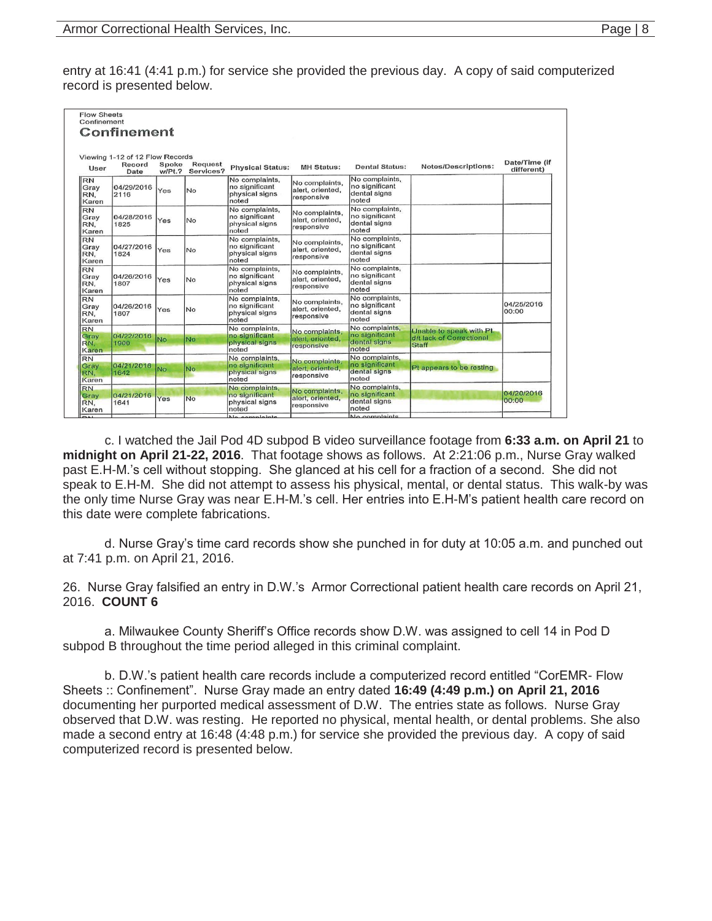entry at 16:41 (4:41 p.m.) for service she provided the previous day. A copy of said computerized record is presented below.

|                                   | Confinement                                       |                 |                      |                                                             |                                                  |                                                           |                                                                      |                             |
|-----------------------------------|---------------------------------------------------|-----------------|----------------------|-------------------------------------------------------------|--------------------------------------------------|-----------------------------------------------------------|----------------------------------------------------------------------|-----------------------------|
| User                              | Viewing 1-12 of 12 Flow Records<br>Record<br>Date | Spoke<br>w/Pt.7 | Request<br>Services? | <b>Physical Status:</b>                                     | <b>MH Status:</b>                                | <b>Dental Status:</b>                                     | <b>Notes/Descriptions:</b>                                           | Date/Time (if<br>different) |
| RN<br>Gray<br>RN.<br>Karen        | 04/29/2016<br>2116                                | Yes             | No                   | No complaints,<br>no significant<br>physical signs<br>noted | No complaints,<br>alert, oriented,<br>responsive | No complaints,<br>no significant<br>dental signs<br>noted |                                                                      |                             |
| <b>RN</b><br>Gray<br>RN.<br>Karen | 04/28/2016<br>1825                                | Yes             | No                   | No complaints,<br>no significant<br>physical signs<br>noted | No complaints,<br>alert, oriented,<br>responsive | No complaints,<br>no significant<br>dental signs<br>noted |                                                                      |                             |
| <b>RN</b><br>Gray<br>RN.<br>Karen | 04/27/2016<br>1824                                | Yes             | No                   | No complaints,<br>no significant<br>physical signs<br>noted | No complaints,<br>alert, oriented,<br>responsive | No complaints,<br>no significant<br>dental signs<br>noted |                                                                      |                             |
| <b>RN</b><br>Gray<br>RN.<br>Karen | 04/26/2016<br>1807                                | Yes             | No                   | No complaints,<br>no significant<br>physical signs<br>noted | No complaints,<br>alert, oriented,<br>responsive | No complaints,<br>no significant<br>dental signs<br>noted |                                                                      |                             |
| <b>RN</b><br>Gray<br>RN,<br>Karen | 04/26/2016<br>1807                                | Yes             | No                   | No complaints.<br>no significant<br>physical signs<br>noted | No complaints,<br>alert, oriented,<br>responsive | No complaints,<br>no significant<br>dental signs<br>noted |                                                                      | 04/25/2016<br>00:00         |
| <b>RN</b><br>Gray<br>RN.<br>Karen | 04/22/2016<br>1900                                | No              | No                   | No complaints,<br>no significant<br>physical signs<br>noted | No complaints,<br>alert, oriented,<br>responsive | No complaints,<br>no significant<br>dental signs<br>noted | Unable to speak with Pt.<br>d/t lack of Correctional<br><b>Staff</b> |                             |
| <b>RN</b><br>Gray<br>RN.<br>Karen | 04/21/2016<br>1642                                | No              | No                   | No complaints.<br>no significant<br>physical signs<br>noted | No complaints,<br>alert, oriented,<br>responsive | No complaints.<br>no significant<br>dental signs<br>noted | Pt appears to be resting                                             |                             |
| <b>RN</b><br>Gray<br>RN,<br>Karen | 04/21/2016<br>1641                                | Yes             | <b>No</b>            | No complaints,<br>no significant<br>physical signs<br>noted | No complaints,<br>alert, oriented,<br>responsive | No complaints,<br>no significant<br>dental signs<br>noted |                                                                      | 04/20/2016<br>00:00         |

 c. I watched the Jail Pod 4D subpod B video surveillance footage from **6:33 a.m. on April 21** to **midnight on April 21-22, 2016**. That footage shows as follows. At 2:21:06 p.m., Nurse Gray walked past E.H-M.'s cell without stopping. She glanced at his cell for a fraction of a second. She did not speak to E.H-M. She did not attempt to assess his physical, mental, or dental status. This walk-by was the only time Nurse Gray was near E.H-M.'s cell. Her entries into E.H-M's patient health care record on this date were complete fabrications.

d. Nurse Gray's time card records show she punched in for duty at 10:05 a.m. and punched out at 7:41 p.m. on April 21, 2016.

26. Nurse Gray falsified an entry in D.W.'s Armor Correctional patient health care records on April 21, 2016. **COUNT 6** 

a. Milwaukee County Sheriff's Office records show D.W. was assigned to cell 14 in Pod D subpod B throughout the time period alleged in this criminal complaint.

b. D.W.'s patient health care records include a computerized record entitled "CorEMR- Flow Sheets :: Confinement". Nurse Gray made an entry dated **16:49 (4:49 p.m.) on April 21, 2016** documenting her purported medical assessment of D.W. The entries state as follows. Nurse Gray observed that D.W. was resting. He reported no physical, mental health, or dental problems. She also made a second entry at 16:48 (4:48 p.m.) for service she provided the previous day. A copy of said computerized record is presented below.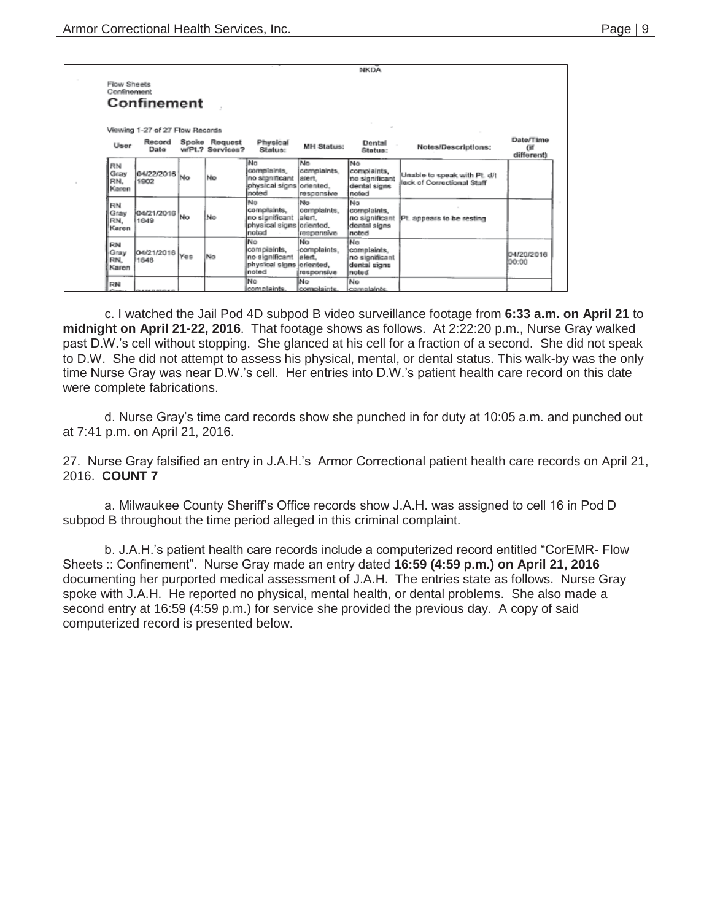|                                   |                                 |           |                                   |                                                                          |                                            | <b>NKDA</b>                                                    |                                                            |                              |
|-----------------------------------|---------------------------------|-----------|-----------------------------------|--------------------------------------------------------------------------|--------------------------------------------|----------------------------------------------------------------|------------------------------------------------------------|------------------------------|
| <b>Flow Sheets</b><br>Confinement | Confinement                     |           |                                   |                                                                          |                                            |                                                                |                                                            |                              |
|                                   | Viewing 1-27 of 27 Flow Records |           |                                   |                                                                          |                                            |                                                                |                                                            |                              |
| User                              | Record<br>Date                  |           | Spoke Request<br>wiPt.? Services? | Physical<br>Status:                                                      | <b>MH Status:</b>                          | Dental<br>Status:                                              | Notes/Descriptions:                                        | Date/Time<br>Œ<br>different) |
| RN<br>Grav<br>RN.<br>Karen        | 04/22/2016<br>1902              | <b>No</b> | <b>No</b>                         | No<br>complaints.<br>no significant<br>physical signs oriented,<br>noted | No.<br>complaints.<br>siert.<br>responsive | lNo.<br>complaints,<br>no significant<br>dental signs<br>noted | Unable to speak with Pt. d/t<br>lack of Correctional Staff |                              |
| FON<br>Gray<br>RN.<br>Karen       | 04/21/2016 No<br>1649           |           | No                                | No<br>complaints,<br>no significant<br>physical signs oriented,<br>noted | No<br>complaints.<br>lalort.<br>responsive | No<br>complaints.<br>no significant<br>dental signs<br>noted   | Pt. appears to be resting                                  |                              |
| RN<br>Gray<br><b>RN</b><br>Karen  | 04/21/2016<br>1648              | Yes       | Na                                | No<br>compiaints,<br>no algnificant<br>physical signs oriented,<br>noted | No<br>complaints,<br>alert.<br>responsive  | No<br>complaints,<br>no significant<br>dental signs<br>noted   |                                                            | 04/20/2016<br>00:00          |
| RN                                |                                 |           |                                   | No<br>complaints.                                                        | lNo.<br>complaints.                        | No<br>complaints.                                              |                                                            |                              |

 c. I watched the Jail Pod 4D subpod B video surveillance footage from **6:33 a.m. on April 21** to **midnight on April 21-22, 2016**. That footage shows as follows. At 2:22:20 p.m., Nurse Gray walked past D.W.'s cell without stopping. She glanced at his cell for a fraction of a second. She did not speak to D.W. She did not attempt to assess his physical, mental, or dental status. This walk-by was the only time Nurse Gray was near D.W.'s cell. Her entries into D.W.'s patient health care record on this date were complete fabrications.

d. Nurse Gray's time card records show she punched in for duty at 10:05 a.m. and punched out at 7:41 p.m. on April 21, 2016.

27. Nurse Gray falsified an entry in J.A.H.'s Armor Correctional patient health care records on April 21, 2016. **COUNT 7** 

a. Milwaukee County Sheriff's Office records show J.A.H. was assigned to cell 16 in Pod D subpod B throughout the time period alleged in this criminal complaint.

b. J.A.H.'s patient health care records include a computerized record entitled "CorEMR- Flow Sheets :: Confinement". Nurse Gray made an entry dated **16:59 (4:59 p.m.) on April 21, 2016** documenting her purported medical assessment of J.A.H. The entries state as follows. Nurse Gray spoke with J.A.H. He reported no physical, mental health, or dental problems. She also made a second entry at 16:59 (4:59 p.m.) for service she provided the previous day. A copy of said computerized record is presented below.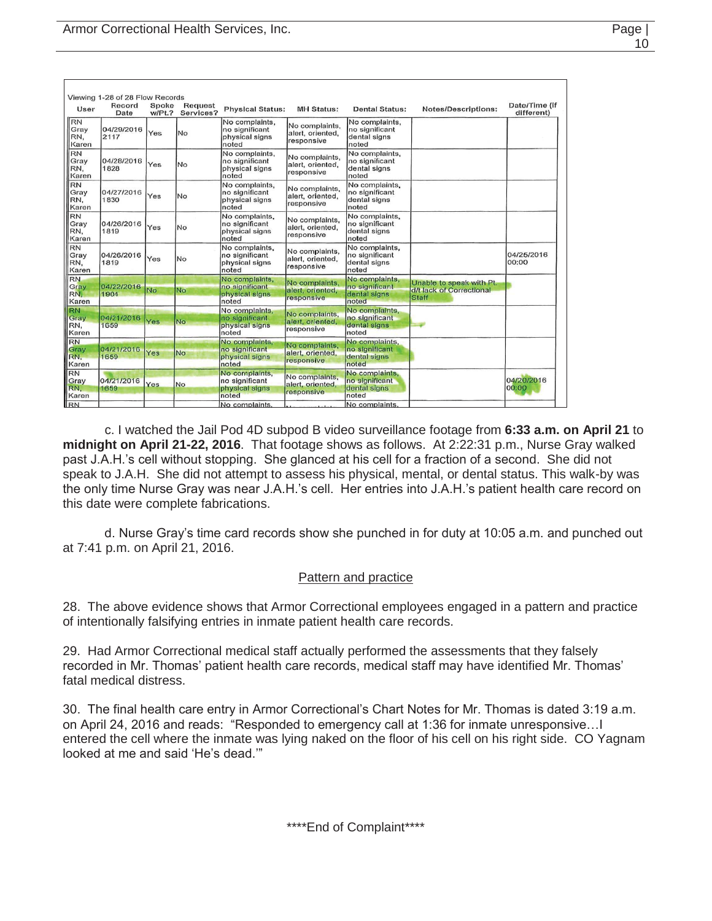| User                              | Record<br>Date     | Spoke<br>w/Pt.? | <b>Request</b><br>Services? | <b>Physical Status:</b>                                     | <b>MH Status:</b>                                | <b>Dental Status:</b>                                     | <b>Notes/Descriptions:</b>                                    | Date/Time (if<br>different) |
|-----------------------------------|--------------------|-----------------|-----------------------------|-------------------------------------------------------------|--------------------------------------------------|-----------------------------------------------------------|---------------------------------------------------------------|-----------------------------|
| RN<br>Gray<br>RN.<br>Karen        | 04/29/2016<br>2117 | Yes             | lNo                         | No complaints,<br>no significant<br>physical signs<br>noted | No complaints,<br>alert, oriented,<br>responsive | No complaints,<br>no significant<br>dental signs<br>noted |                                                               |                             |
| RN<br>Gray<br>IRN.<br>Karen       | 04/28/2016<br>1828 | Yes             | <b>No</b>                   | No complaints,<br>no significant<br>physical signs<br>noted | No complaints.<br>alert, oriented,<br>responsive | No complaints.<br>no significant<br>dental signs<br>noted |                                                               |                             |
| RN<br>Gray<br>RN.<br>Karen        | 04/27/2016<br>1830 | Yes             | No                          | No complaints,<br>no significant<br>physical signs<br>noted | No complaints.<br>alert, oriented,<br>responsive | No complaints,<br>no significant<br>dental signs<br>noted |                                                               |                             |
| <b>RN</b><br>Gray<br>RN.<br>Karen | 04/26/2016<br>1819 | Yes             | No                          | No complaints,<br>no significant<br>physical signs<br>noted | No complaints,<br>alert, oriented,<br>responsive | No complaints,<br>no significant<br>dental signs<br>noted |                                                               |                             |
| RN<br>Gray<br>IRN.<br>Karen       | 04/26/2016<br>1819 | Yes             | No                          | No complaints,<br>no significant<br>physical signs<br>noted | No complaints,<br>alert, oriented,<br>responsive | No complaints,<br>no significant<br>dental signs<br>noted |                                                               | 04/25/2016<br>00:00         |
| <b>RN</b><br>Gray<br>RN,<br>Karen | 04/22/2016<br>1904 | No              | <b>No</b>                   | No complaints,<br>no significant<br>physical signs<br>noted | No complaints,<br>alert, oriented,<br>responsive | No complaints,<br>no significant<br>dental signs<br>noted | Unable to speak with Pt.<br>d/t lack of Correctional<br>Staff |                             |
| <b>RN</b><br>Gray<br>RN,<br>Karen | 04/21/2016<br>1659 | Yes             | No                          | No complaints,<br>no significant<br>physical signs<br>noted | No complaints,<br>alert, oriented,<br>responsive | No complaints,<br>no significant<br>dental signs<br>noted |                                                               |                             |
| RN<br>Gray<br>RN.<br>Karen        | 04/21/2016<br>1659 | Yes             | No                          | No complaints,<br>no significant<br>physical signs<br>noted | No complaints,<br>alert, oriented.<br>responsive | No complaints.<br>no significant<br>dental signs<br>noted |                                                               |                             |
| <b>RN</b><br>Gray<br>RN.<br>Karen | 04/21/2016<br>1659 | Yes             | No                          | No complaints,<br>no significant<br>physical signs<br>noted | No complaints.<br>alert, oriented,<br>responsive | No complaints.<br>no significant<br>dental signs<br>noted |                                                               | 04/20/2016<br>00:00         |
| <b>RN</b>                         |                    |                 |                             | No complaints.                                              |                                                  | No complaints,                                            |                                                               |                             |

 c. I watched the Jail Pod 4D subpod B video surveillance footage from **6:33 a.m. on April 21** to **midnight on April 21-22, 2016**. That footage shows as follows. At 2:22:31 p.m., Nurse Gray walked past J.A.H.'s cell without stopping. She glanced at his cell for a fraction of a second. She did not speak to J.A.H. She did not attempt to assess his physical, mental, or dental status. This walk-by was the only time Nurse Gray was near J.A.H.'s cell. Her entries into J.A.H.'s patient health care record on this date were complete fabrications.

d. Nurse Gray's time card records show she punched in for duty at 10:05 a.m. and punched out at 7:41 p.m. on April 21, 2016.

#### Pattern and practice

28. The above evidence shows that Armor Correctional employees engaged in a pattern and practice of intentionally falsifying entries in inmate patient health care records.

29. Had Armor Correctional medical staff actually performed the assessments that they falsely recorded in Mr. Thomas' patient health care records, medical staff may have identified Mr. Thomas' fatal medical distress.

30. The final health care entry in Armor Correctional's Chart Notes for Mr. Thomas is dated 3:19 a.m. on April 24, 2016 and reads: "Responded to emergency call at 1:36 for inmate unresponsive…I entered the cell where the inmate was lying naked on the floor of his cell on his right side. CO Yagnam looked at me and said 'He's dead.'"

\*\*\*\*End of Complaint\*\*\*\*